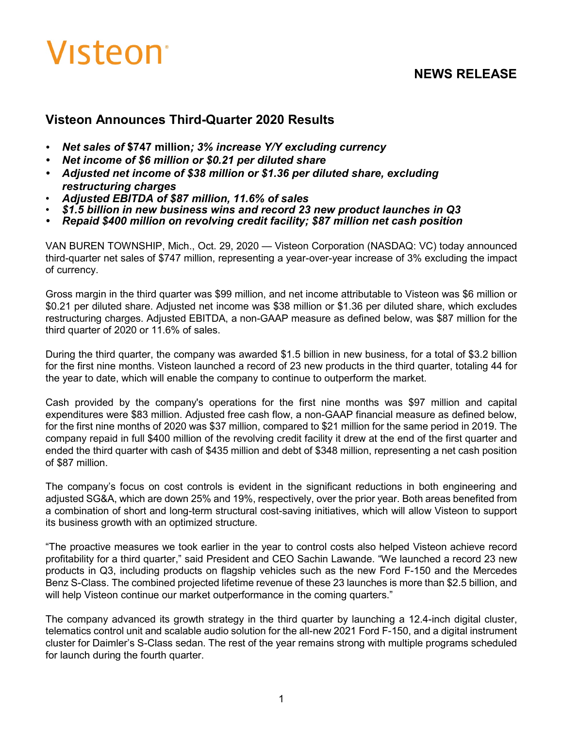# Visteon<sup>®</sup>

# **NEWS RELEASE**

# **Visteon Announces Third-Quarter 2020 Results**

- *• Net sales of* **\$747 million***; 3% increase Y/Y excluding currency*
- *• Net income of \$6 million or \$0.21 per diluted share*
- *• Adjusted net income of \$38 million or \$1.36 per diluted share, excluding restructuring charges*
- *Adjusted EBITDA of \$87 million, 11.6% of sales*
- *\$1.5 billion in new business wins and record 23 new product launches in Q3*
- *• Repaid \$400 million on revolving credit facility; \$87 million net cash position*

VAN BUREN TOWNSHIP, Mich., Oct. 29, 2020 — Visteon Corporation (NASDAQ: VC) today announced third-quarter net sales of \$747 million, representing a year-over-year increase of 3% excluding the impact of currency.

Gross margin in the third quarter was \$99 million, and net income attributable to Visteon was \$6 million or \$0.21 per diluted share. Adjusted net income was \$38 million or \$1.36 per diluted share, which excludes restructuring charges. Adjusted EBITDA, a non-GAAP measure as defined below, was \$87 million for the third quarter of 2020 or 11.6% of sales.

During the third quarter, the company was awarded \$1.5 billion in new business, for a total of \$3.2 billion for the first nine months. Visteon launched a record of 23 new products in the third quarter, totaling 44 for the year to date, which will enable the company to continue to outperform the market.

Cash provided by the company's operations for the first nine months was \$97 million and capital expenditures were \$83 million. Adjusted free cash flow, a non-GAAP financial measure as defined below, for the first nine months of 2020 was \$37 million, compared to \$21 million for the same period in 2019. The company repaid in full \$400 million of the revolving credit facility it drew at the end of the first quarter and ended the third quarter with cash of \$435 million and debt of \$348 million, representing a net cash position of \$87 million.

The company's focus on cost controls is evident in the significant reductions in both engineering and adjusted SG&A, which are down 25% and 19%, respectively, over the prior year. Both areas benefited from a combination of short and long-term structural cost-saving initiatives, which will allow Visteon to support its business growth with an optimized structure.

"The proactive measures we took earlier in the year to control costs also helped Visteon achieve record profitability for a third quarter," said President and CEO Sachin Lawande. "We launched a record 23 new products in Q3, including products on flagship vehicles such as the new Ford F-150 and the Mercedes Benz S-Class. The combined projected lifetime revenue of these 23 launches is more than \$2.5 billion, and will help Visteon continue our market outperformance in the coming quarters."

The company advanced its growth strategy in the third quarter by launching a 12.4-inch digital cluster, telematics control unit and scalable audio solution for the all-new 2021 Ford F-150, and a digital instrument cluster for Daimler's S-Class sedan. The rest of the year remains strong with multiple programs scheduled for launch during the fourth quarter.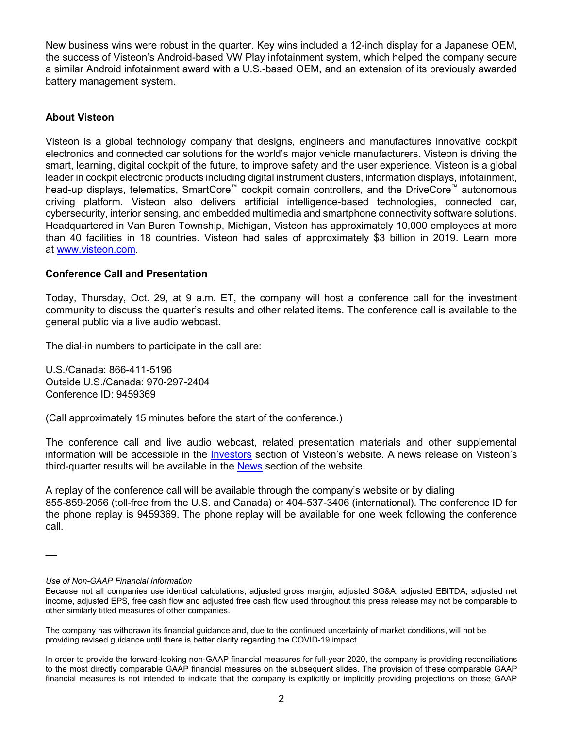New business wins were robust in the quarter. Key wins included a 12-inch display for a Japanese OEM, the success of Visteon's Android-based VW Play infotainment system, which helped the company secure a similar Android infotainment award with a U.S.-based OEM, and an extension of its previously awarded battery management system.

#### **About Visteon**

Visteon is a global technology company that designs, engineers and manufactures innovative cockpit electronics and connected car solutions for the world's major vehicle manufacturers. Visteon is driving the smart, learning, digital cockpit of the future, to improve safety and the user experience. Visteon is a global leader in cockpit electronic products including digital instrument clusters, information displays, infotainment, head-up displays, telematics, SmartCore™ cockpit domain controllers, and the DriveCore™ autonomous driving platform. Visteon also delivers artificial intelligence-based technologies, connected car, cybersecurity, interior sensing, and embedded multimedia and smartphone connectivity software solutions. Headquartered in Van Buren Township, Michigan, Visteon has approximately 10,000 employees at more than 40 facilities in 18 countries. Visteon had sales of approximately \$3 billion in 2019. Learn more at www.visteon.com.

#### **Conference Call and Presentation**

Today, Thursday, Oct. 29, at 9 a.m. ET, the company will host a conference call for the investment community to discuss the quarter's results and other related items. The conference call is available to the general public via a live audio webcast.

The dial-in numbers to participate in the call are:

U.S./Canada: 866-411-5196 Outside U.S./Canada: 970-297-2404 Conference ID: 9459369

(Call approximately 15 minutes before the start of the conference.)

The conference call and live audio webcast, related presentation materials and other supplemental information will be accessible in the [Investors](https://investors.visteon.com/events-presentations) section of Visteon's website. A news release on Visteon's third-quarter results will be available in the [News](https://www.visteon.com/newsroom/) section of the website.

A replay of the conference call will be available through the company's website or by dialing 855-859-2056 (toll-free from the U.S. and Canada) or 404-537-3406 (international). The conference ID for the phone replay is 9459369. The phone replay will be available for one week following the conference call.

 $\overline{\phantom{a}}$ 

*Use of Non-GAAP Financial Information*

Because not all companies use identical calculations, adjusted gross margin, adjusted SG&A, adjusted EBITDA, adjusted net income, adjusted EPS, free cash flow and adjusted free cash flow used throughout this press release may not be comparable to other similarly titled measures of other companies.

The company has withdrawn its financial guidance and, due to the continued uncertainty of market conditions, will not be providing revised guidance until there is better clarity regarding the COVID-19 impact.

In order to provide the forward-looking non-GAAP financial measures for full-year 2020, the company is providing reconciliations to the most directly comparable GAAP financial measures on the subsequent slides. The provision of these comparable GAAP financial measures is not intended to indicate that the company is explicitly or implicitly providing projections on those GAAP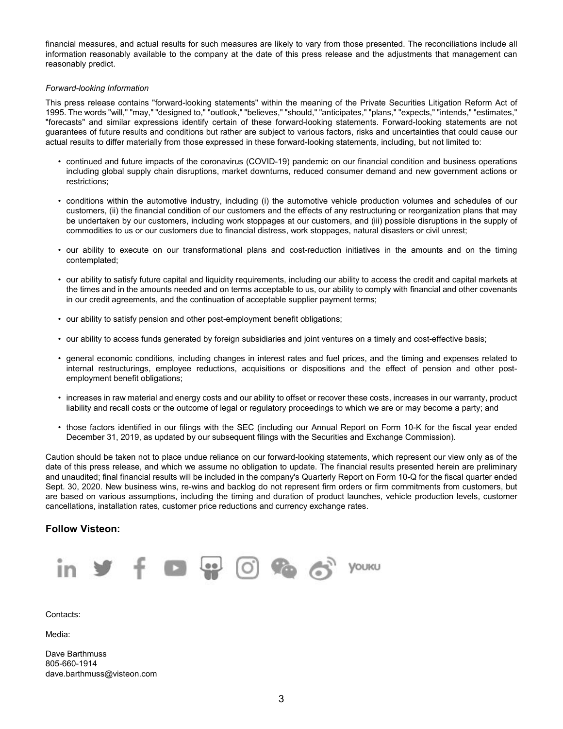financial measures, and actual results for such measures are likely to vary from those presented. The reconciliations include all information reasonably available to the company at the date of this press release and the adjustments that management can reasonably predict.

#### *Forward-looking Information*

This press release contains "forward-looking statements" within the meaning of the Private Securities Litigation Reform Act of 1995. The words "will," "may," "designed to," "outlook," "believes," "should," "anticipates," "plans," "expects," "intends," "estimates," "forecasts" and similar expressions identify certain of these forward-looking statements. Forward-looking statements are not guarantees of future results and conditions but rather are subject to various factors, risks and uncertainties that could cause our actual results to differ materially from those expressed in these forward-looking statements, including, but not limited to:

- continued and future impacts of the coronavirus (COVID-19) pandemic on our financial condition and business operations including global supply chain disruptions, market downturns, reduced consumer demand and new government actions or restrictions;
- conditions within the automotive industry, including (i) the automotive vehicle production volumes and schedules of our customers, (ii) the financial condition of our customers and the effects of any restructuring or reorganization plans that may be undertaken by our customers, including work stoppages at our customers, and (iii) possible disruptions in the supply of commodities to us or our customers due to financial distress, work stoppages, natural disasters or civil unrest;
- our ability to execute on our transformational plans and cost-reduction initiatives in the amounts and on the timing contemplated;
- our ability to satisfy future capital and liquidity requirements, including our ability to access the credit and capital markets at the times and in the amounts needed and on terms acceptable to us, our ability to comply with financial and other covenants in our credit agreements, and the continuation of acceptable supplier payment terms;
- our ability to satisfy pension and other post-employment benefit obligations;
- our ability to access funds generated by foreign subsidiaries and joint ventures on a timely and cost-effective basis;
- general economic conditions, including changes in interest rates and fuel prices, and the timing and expenses related to internal restructurings, employee reductions, acquisitions or dispositions and the effect of pension and other postemployment benefit obligations;
- increases in raw material and energy costs and our ability to offset or recover these costs, increases in our warranty, product liability and recall costs or the outcome of legal or regulatory proceedings to which we are or may become a party; and
- those factors identified in our filings with the SEC (including our Annual Report on Form 10-K for the fiscal year ended December 31, 2019, as updated by our subsequent filings with the Securities and Exchange Commission).

Caution should be taken not to place undue reliance on our forward-looking statements, which represent our view only as of the date of this press release, and which we assume no obligation to update. The financial results presented herein are preliminary and unaudited; final financial results will be included in the company's Quarterly Report on Form 10-Q for the fiscal quarter ended Sept. 30, 2020. New business wins, re-wins and backlog do not represent firm orders or firm commitments from customers, but are based on various assumptions, including the timing and duration of product launches, vehicle production levels, customer cancellations, installation rates, customer price reductions and currency exchange rates.

#### **Follow Visteon:**



Contacts:

Media:

Dave Barthmuss 805-660-1914 dave.barthmuss@visteon.com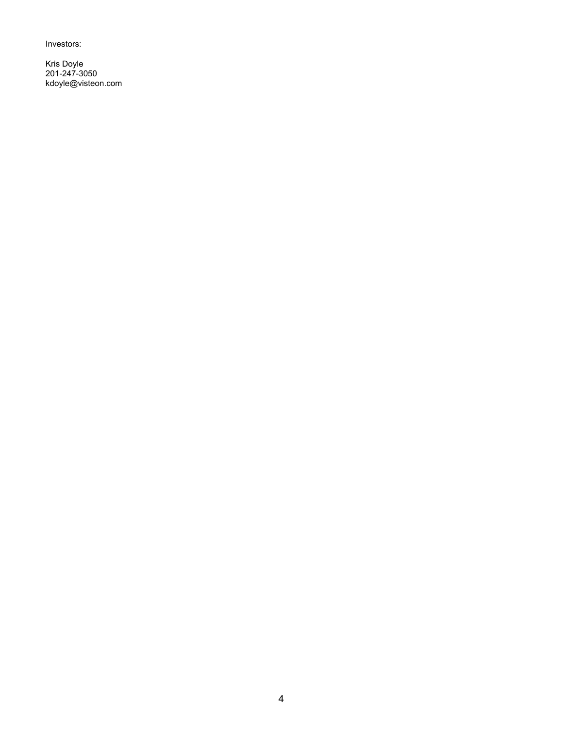Investors:

Kris Doyle 201-247-3050 kdoyle@visteon.com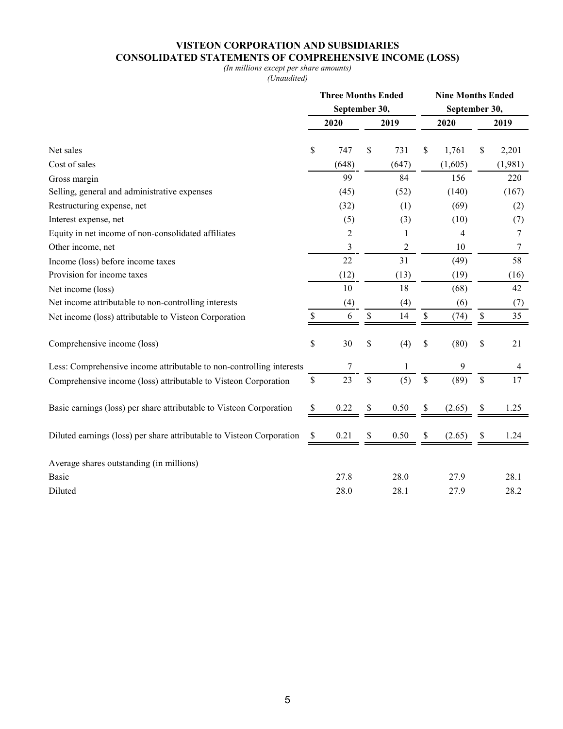## **VISTEON CORPORATION AND SUBSIDIARIES CONSOLIDATED STATEMENTS OF COMPREHENSIVE INCOME (LOSS)**

#### *(In millions except per share amounts)*

*(Unaudited)*

|                                                                       | <b>Three Months Ended</b><br>September 30, |       |    |                | <b>Nine Months Ended</b> |               |      |                |  |
|-----------------------------------------------------------------------|--------------------------------------------|-------|----|----------------|--------------------------|---------------|------|----------------|--|
|                                                                       |                                            |       |    |                |                          | September 30, |      |                |  |
|                                                                       |                                            | 2020  |    | 2019           |                          | 2020          | 2019 |                |  |
| Net sales                                                             | \$                                         | 747   | \$ | 731            | \$                       | 1,761         | \$   | 2,201          |  |
| Cost of sales                                                         |                                            | (648) |    | (647)          |                          | (1,605)       |      | (1,981)        |  |
| Gross margin                                                          |                                            | 99    |    | 84             |                          | 156           |      | 220            |  |
| Selling, general and administrative expenses                          |                                            | (45)  |    | (52)           |                          | (140)         |      | (167)          |  |
| Restructuring expense, net                                            |                                            | (32)  |    | (1)            |                          | (69)          |      | (2)            |  |
| Interest expense, net                                                 |                                            | (5)   |    | (3)            |                          | (10)          |      | (7)            |  |
| Equity in net income of non-consolidated affiliates                   |                                            | 2     |    | 1              |                          | 4             |      | 7              |  |
| Other income, net                                                     |                                            | 3     |    | $\overline{c}$ |                          | 10            |      | 7              |  |
| Income (loss) before income taxes                                     |                                            | 22    |    | 31             |                          | (49)          |      | 58             |  |
| Provision for income taxes                                            |                                            | (12)  |    | (13)           |                          | (19)          |      | (16)           |  |
| Net income (loss)                                                     |                                            | 10    |    | 18             |                          | (68)          |      | 42             |  |
| Net income attributable to non-controlling interests                  |                                            | (4)   |    | (4)            |                          | (6)           |      | (7)            |  |
| Net income (loss) attributable to Visteon Corporation                 | \$                                         | 6     | \$ | 14             | \$                       | (74)          | $\$$ | 35             |  |
| Comprehensive income (loss)                                           | \$                                         | 30    | \$ | (4)            | \$                       | (80)          | \$   | 21             |  |
| Less: Comprehensive income attributable to non-controlling interests  |                                            | 7     |    | $\mathbf{1}$   |                          | 9             |      | $\overline{4}$ |  |
| Comprehensive income (loss) attributable to Visteon Corporation       | \$                                         | 23    | \$ | (5)            | $\mathcal{S}$            | (89)          | \$   | 17             |  |
| Basic earnings (loss) per share attributable to Visteon Corporation   | \$                                         | 0.22  | \$ | 0.50           | \$                       | (2.65)        | \$   | 1.25           |  |
| Diluted earnings (loss) per share attributable to Visteon Corporation | \$                                         | 0.21  | \$ | 0.50           | \$                       | (2.65)        | \$   | 1.24           |  |
| Average shares outstanding (in millions)                              |                                            |       |    |                |                          |               |      |                |  |
| <b>Basic</b>                                                          |                                            | 27.8  |    | 28.0           |                          | 27.9          |      | 28.1           |  |
| Diluted                                                               |                                            | 28.0  |    | 28.1           |                          | 27.9          |      | 28.2           |  |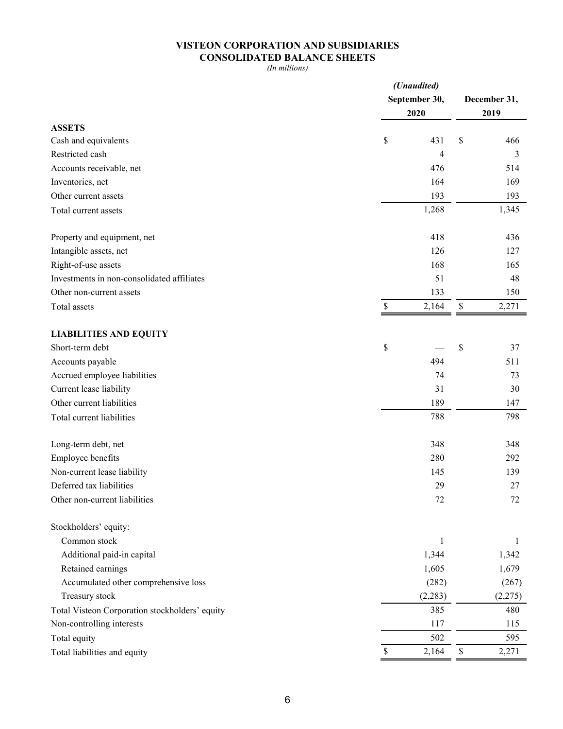## **VISTEON CORPORATION AND SUBSIDIARIES CONSOLIDATED BALANCE SHEETS**

*(In millions)*

|                                                | (Unaudited) |               |              |         |  |  |  |
|------------------------------------------------|-------------|---------------|--------------|---------|--|--|--|
|                                                |             | September 30, | December 31, |         |  |  |  |
| <b>ASSETS</b>                                  |             | 2020          | 2019         |         |  |  |  |
| Cash and equivalents                           | \$          | 431           | \$           | 466     |  |  |  |
| Restricted cash                                |             | 4             |              | 3       |  |  |  |
| Accounts receivable, net                       |             | 476           |              | 514     |  |  |  |
| Inventories, net                               |             | 164           |              | 169     |  |  |  |
| Other current assets                           |             | 193           |              | 193     |  |  |  |
| Total current assets                           |             | 1,268         |              | 1,345   |  |  |  |
|                                                |             |               |              |         |  |  |  |
| Property and equipment, net                    |             | 418           |              | 436     |  |  |  |
| Intangible assets, net                         |             | 126           |              | 127     |  |  |  |
| Right-of-use assets                            |             | 168           |              | 165     |  |  |  |
| Investments in non-consolidated affiliates     |             | 51            |              | 48      |  |  |  |
| Other non-current assets                       |             | 133           |              | 150     |  |  |  |
| Total assets                                   | \$          | 2,164         | $\$$         | 2,271   |  |  |  |
|                                                |             |               |              |         |  |  |  |
| <b>LIABILITIES AND EQUITY</b>                  |             |               |              |         |  |  |  |
| Short-term debt                                | \$          |               | \$           | 37      |  |  |  |
| Accounts payable                               |             | 494           |              | 511     |  |  |  |
| Accrued employee liabilities                   |             | 74            |              | 73      |  |  |  |
| Current lease liability                        |             | 31            |              | 30      |  |  |  |
| Other current liabilities                      |             | 189           |              | 147     |  |  |  |
| Total current liabilities                      |             | 788           |              | 798     |  |  |  |
| Long-term debt, net                            |             | 348           |              | 348     |  |  |  |
| Employee benefits                              |             | 280           |              | 292     |  |  |  |
| Non-current lease liability                    |             | 145           |              | 139     |  |  |  |
| Deferred tax liabilities                       |             | 29            |              | 27      |  |  |  |
| Other non-current liabilities                  |             | 72            |              | 72      |  |  |  |
|                                                |             |               |              |         |  |  |  |
| Stockholders' equity:                          |             |               |              |         |  |  |  |
| Common stock                                   |             | 1             |              | 1       |  |  |  |
| Additional paid-in capital                     |             | 1,344         |              | 1,342   |  |  |  |
| Retained earnings                              |             | 1,605         |              | 1,679   |  |  |  |
| Accumulated other comprehensive loss           |             | (282)         |              | (267)   |  |  |  |
| Treasury stock                                 |             | (2, 283)      |              | (2,275) |  |  |  |
| Total Visteon Corporation stockholders' equity |             | 385           |              | 480     |  |  |  |
| Non-controlling interests                      |             | 117           |              | 115     |  |  |  |
| Total equity                                   |             | 502           |              | 595     |  |  |  |
| Total liabilities and equity                   |             | 2,164         | \$           | 2,271   |  |  |  |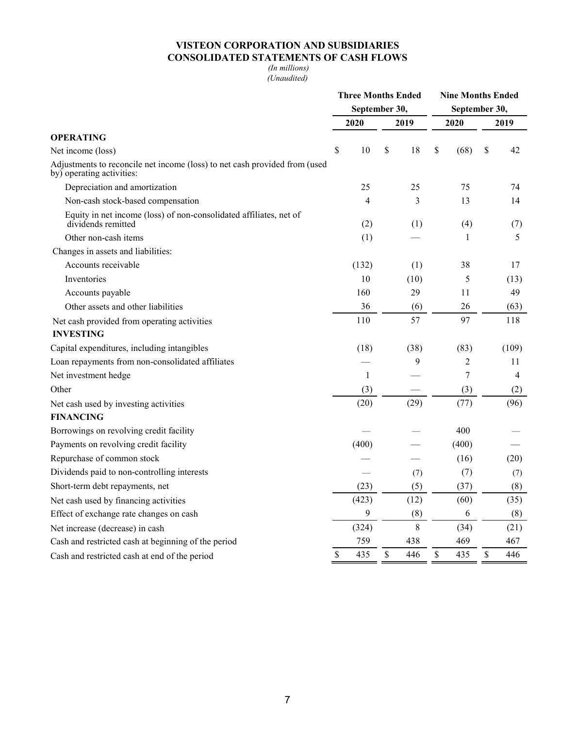## **VISTEON CORPORATION AND SUBSIDIARIES CONSOLIDATED STATEMENTS OF CASH FLOWS**

#### *(In millions) (Unaudited)*

|                                                                                                         | <b>Three Months Ended</b> |       |             |      |               | <b>Nine Months Ended</b> |      |                |  |  |
|---------------------------------------------------------------------------------------------------------|---------------------------|-------|-------------|------|---------------|--------------------------|------|----------------|--|--|
|                                                                                                         | September 30,             |       |             |      | September 30, |                          |      |                |  |  |
|                                                                                                         |                           | 2020  |             | 2019 | 2020          |                          | 2019 |                |  |  |
| <b>OPERATING</b>                                                                                        |                           |       |             |      |               |                          |      |                |  |  |
| Net income (loss)                                                                                       | \$                        | 10    | \$          | 18   | \$            | (68)                     | \$   | 42             |  |  |
| Adjustments to reconcile net income (loss) to net cash provided from (used<br>by) operating activities: |                           |       |             |      |               |                          |      |                |  |  |
| Depreciation and amortization                                                                           |                           | 25    |             | 25   |               | 75                       |      | 74             |  |  |
| Non-cash stock-based compensation                                                                       |                           | 4     |             | 3    |               | 13                       |      | 14             |  |  |
| Equity in net income (loss) of non-consolidated affiliates, net of<br>dividends remitted                |                           | (2)   |             | (1)  |               | (4)                      |      | (7)            |  |  |
| Other non-cash items                                                                                    |                           | (1)   |             |      |               | 1                        |      | 5              |  |  |
| Changes in assets and liabilities:                                                                      |                           |       |             |      |               |                          |      |                |  |  |
| Accounts receivable                                                                                     |                           | (132) |             | (1)  |               | 38                       |      | 17             |  |  |
| Inventories                                                                                             |                           | 10    |             | (10) |               | 5                        |      | (13)           |  |  |
| Accounts payable                                                                                        |                           | 160   |             | 29   |               | 11                       |      | 49             |  |  |
| Other assets and other liabilities                                                                      |                           | 36    |             | (6)  |               | 26                       |      | (63)           |  |  |
| Net cash provided from operating activities                                                             |                           | 110   |             | 57   |               | 97                       |      | 118            |  |  |
| <b>INVESTING</b>                                                                                        |                           |       |             |      |               |                          |      |                |  |  |
| Capital expenditures, including intangibles                                                             |                           | (18)  |             | (38) |               | (83)                     |      | (109)          |  |  |
| Loan repayments from non-consolidated affiliates                                                        |                           |       |             | 9    |               | 2                        |      | 11             |  |  |
| Net investment hedge                                                                                    |                           | 1     |             |      |               | 7                        |      | $\overline{4}$ |  |  |
| Other                                                                                                   |                           | (3)   |             |      |               | (3)                      |      | (2)            |  |  |
| Net cash used by investing activities                                                                   |                           | (20)  |             | (29) |               | (77)                     |      | (96)           |  |  |
| <b>FINANCING</b>                                                                                        |                           |       |             |      |               |                          |      |                |  |  |
| Borrowings on revolving credit facility                                                                 |                           |       |             |      |               | 400                      |      |                |  |  |
| Payments on revolving credit facility                                                                   |                           | (400) |             |      |               | (400)                    |      |                |  |  |
| Repurchase of common stock                                                                              |                           |       |             |      |               | (16)                     |      | (20)           |  |  |
| Dividends paid to non-controlling interests                                                             |                           |       |             | (7)  |               | (7)                      |      | (7)            |  |  |
| Short-term debt repayments, net                                                                         |                           | (23)  |             | (5)  |               | (37)                     |      | (8)            |  |  |
| Net cash used by financing activities                                                                   |                           | (423) |             | (12) |               | (60)                     |      | (35)           |  |  |
| Effect of exchange rate changes on cash                                                                 |                           | 9     |             | (8)  |               | 6                        |      | (8)            |  |  |
| Net increase (decrease) in cash                                                                         |                           | (324) |             | 8    |               | (34)                     |      | (21)           |  |  |
| Cash and restricted cash at beginning of the period                                                     |                           | 759   |             | 438  |               | 469                      |      | 467            |  |  |
| Cash and restricted cash at end of the period                                                           | \$                        | 435   | $\mathbb S$ | 446  | \$            | 435                      | \$   | 446            |  |  |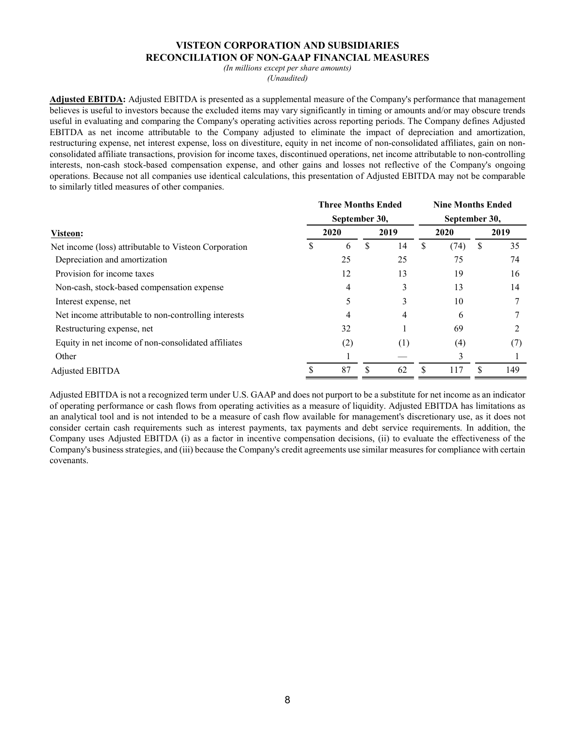#### **VISTEON CORPORATION AND SUBSIDIARIES RECONCILIATION OF NON-GAAP FINANCIAL MEASURES**

*(In millions except per share amounts)* 

*(Unaudited)*

**Adjusted EBITDA:** Adjusted EBITDA is presented as a supplemental measure of the Company's performance that management believes is useful to investors because the excluded items may vary significantly in timing or amounts and/or may obscure trends useful in evaluating and comparing the Company's operating activities across reporting periods. The Company defines Adjusted EBITDA as net income attributable to the Company adjusted to eliminate the impact of depreciation and amortization, restructuring expense, net interest expense, loss on divestiture, equity in net income of non-consolidated affiliates, gain on nonconsolidated affiliate transactions, provision for income taxes, discontinued operations, net income attributable to non-controlling interests, non-cash stock-based compensation expense, and other gains and losses not reflective of the Company's ongoing operations. Because not all companies use identical calculations, this presentation of Adjusted EBITDA may not be comparable to similarly titled measures of other companies.

|                                                       | <b>Three Months Ended</b> | <b>Nine Months Ended</b> |      |     |      |               |    |      |  |  |
|-------------------------------------------------------|---------------------------|--------------------------|------|-----|------|---------------|----|------|--|--|
| Visteon:                                              | September 30,             |                          |      |     |      | September 30, |    |      |  |  |
|                                                       | 2020                      |                          | 2019 |     | 2020 |               |    | 2019 |  |  |
| Net income (loss) attributable to Visteon Corporation | ъ                         | 6                        | S    | 14  | \$   | (74)          | \$ | 35   |  |  |
| Depreciation and amortization                         |                           | 25                       |      | 25  |      | 75            |    | 74   |  |  |
| Provision for income taxes                            |                           | 12                       |      | 13  |      | 19            |    | 16   |  |  |
| Non-cash, stock-based compensation expense            |                           | 4                        |      | 3   |      | 13            |    | 14   |  |  |
| Interest expense, net                                 |                           |                          |      | 3   |      | 10            |    |      |  |  |
| Net income attributable to non-controlling interests  |                           | 4                        |      | 4   |      | 6             |    |      |  |  |
| Restructuring expense, net                            |                           | 32                       |      |     |      | 69            |    |      |  |  |
| Equity in net income of non-consolidated affiliates   |                           | (2)                      |      | (1) |      | (4)           |    | (7)  |  |  |
| Other                                                 |                           |                          |      |     |      | 3             |    |      |  |  |
| Adjusted EBITDA                                       |                           | 87                       |      | 62  |      | 117           |    | 149  |  |  |

Adjusted EBITDA is not a recognized term under U.S. GAAP and does not purport to be a substitute for net income as an indicator of operating performance or cash flows from operating activities as a measure of liquidity. Adjusted EBITDA has limitations as an analytical tool and is not intended to be a measure of cash flow available for management's discretionary use, as it does not consider certain cash requirements such as interest payments, tax payments and debt service requirements. In addition, the Company uses Adjusted EBITDA (i) as a factor in incentive compensation decisions, (ii) to evaluate the effectiveness of the Company's business strategies, and (iii) because the Company's credit agreements use similar measures for compliance with certain covenants.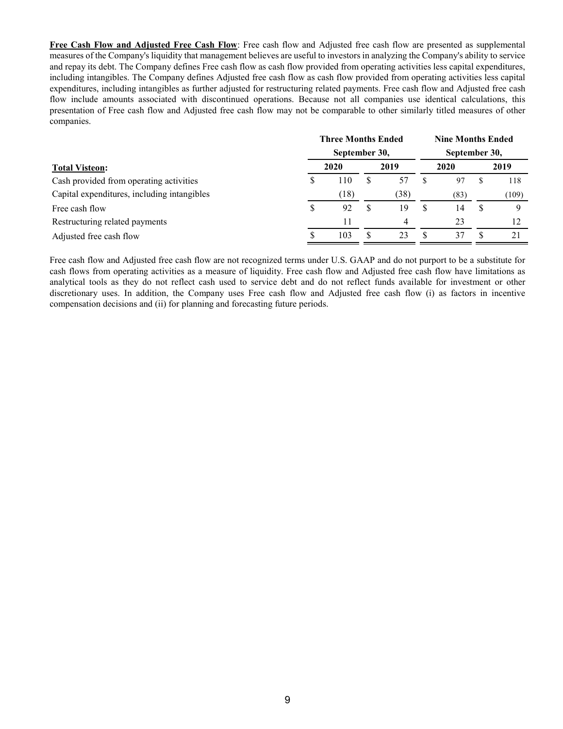**Free Cash Flow and Adjusted Free Cash Flow**: Free cash flow and Adjusted free cash flow are presented as supplemental measures of the Company's liquidity that management believes are useful to investors in analyzing the Company's ability to service and repay its debt. The Company defines Free cash flow as cash flow provided from operating activities less capital expenditures, including intangibles. The Company defines Adjusted free cash flow as cash flow provided from operating activities less capital expenditures, including intangibles as further adjusted for restructuring related payments. Free cash flow and Adjusted free cash flow include amounts associated with discontinued operations. Because not all companies use identical calculations, this presentation of Free cash flow and Adjusted free cash flow may not be comparable to other similarly titled measures of other companies.

|                                             | <b>Three Months Ended</b><br>September 30, |      |          |      |              | <b>Nine Months Ended</b> |      |       |  |  |  |
|---------------------------------------------|--------------------------------------------|------|----------|------|--------------|--------------------------|------|-------|--|--|--|
|                                             |                                            |      |          |      |              | September 30,            |      |       |  |  |  |
| <b>Total Visteon:</b>                       | 2020                                       |      | 2019     |      | 2020         |                          | 2019 |       |  |  |  |
| Cash provided from operating activities     |                                            | 110  | <b>S</b> | 57   |              | 97                       |      | 118   |  |  |  |
| Capital expenditures, including intangibles |                                            | (18) |          | (38) |              | (83)                     |      | (109) |  |  |  |
| Free cash flow                              | S                                          | 92   | S        | 19   | <sup>8</sup> | 14                       | S    | Q     |  |  |  |
| Restructuring related payments              |                                            | 11   |          | 4    |              | 23                       |      | 12    |  |  |  |
| Adjusted free cash flow                     |                                            | 103  | S        | 23   |              | 37                       |      | 21    |  |  |  |

Free cash flow and Adjusted free cash flow are not recognized terms under U.S. GAAP and do not purport to be a substitute for cash flows from operating activities as a measure of liquidity. Free cash flow and Adjusted free cash flow have limitations as analytical tools as they do not reflect cash used to service debt and do not reflect funds available for investment or other discretionary uses. In addition, the Company uses Free cash flow and Adjusted free cash flow (i) as factors in incentive compensation decisions and (ii) for planning and forecasting future periods.